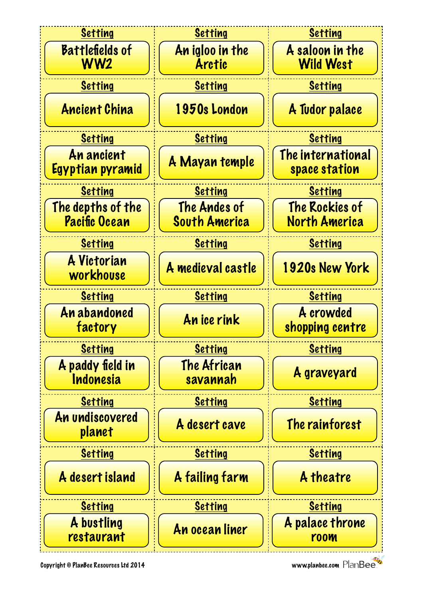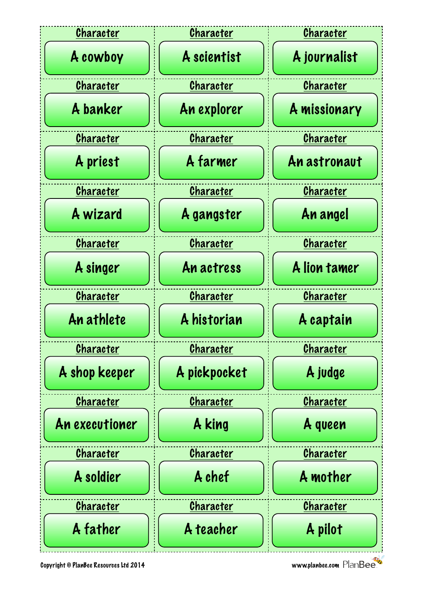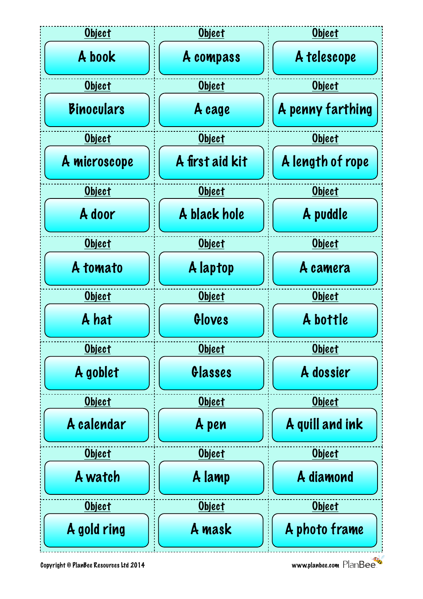